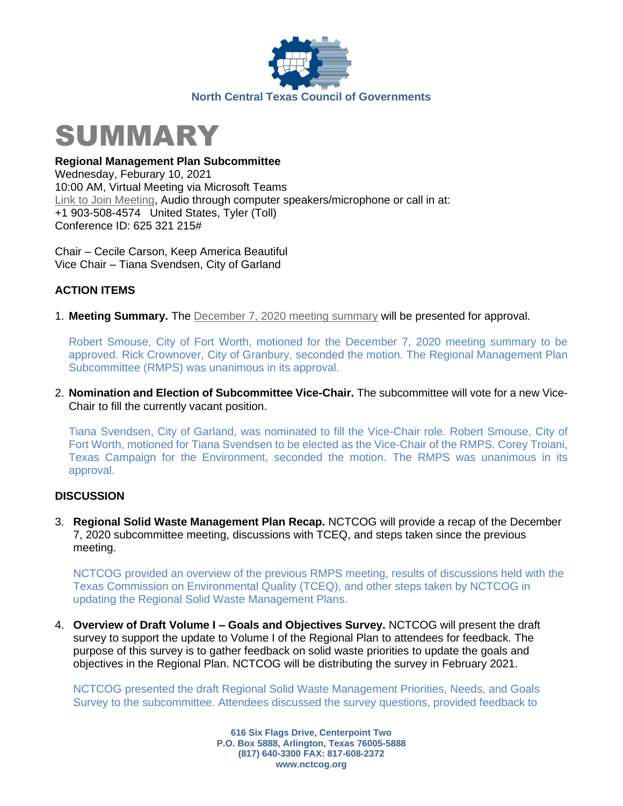



**Regional Management Plan Subcommittee** Wednesday, Feburary 10, 2021 10:00 AM, Virtual Meeting via Microsoft Teams [Link to Join Meeting,](https://teams.microsoft.com/l/meetup-join/19%3ameeting_YTZlMGQ0ZjQtMzBiZC00OTYxLWJlZjYtN2RlZWUwMWQwZjQ1%40thread.v2/0?context=%7b%22Tid%22%3a%222f5e7ebc-22b0-4fbe-934c-aabddb4e29b1%22%2c%22Oid%22%3a%22cab28b78-d671-4384-9c8e-6035f7c46b7d%22%7d) Audio through computer speakers/microphone or call in at: +1 903-508-4574 United States, Tyler (Toll) Conference ID: 625 321 215#

Chair – Cecile Carson, Keep America Beautiful Vice Chair – Tiana Svendsen, City of Garland

## **ACTION ITEMS**

1. **Meeting Summary.** The [December 7, 2020 meeting summary](https://nctcog.org/nctcg/media/Environment-and-Development/Committee%20Documents/RCC-Regional%20Management%20Plan%20Sub/FY2021/2020-12-07-RMPS-Summary.pdf?ext=.pdf) will be presented for approval.

Robert Smouse, City of Fort Worth, motioned for the December 7, 2020 meeting summary to be approved. Rick Crownover, City of Granbury, seconded the motion. The Regional Management Plan Subcommittee (RMPS) was unanimous in its approval.

2. **Nomination and Election of Subcommittee Vice-Chair.** The subcommittee will vote for a new Vice-Chair to fill the currently vacant position.

Tiana Svendsen, City of Garland, was nominated to fill the Vice-Chair role. Robert Smouse, City of Fort Worth, motioned for Tiana Svendsen to be elected as the Vice-Chair of the RMPS. Corey Troiani, Texas Campaign for the Environment, seconded the motion. The RMPS was unanimous in its approval.

## **DISCUSSION**

3. **Regional Solid Waste Management Plan Recap.** NCTCOG will provide a recap of the December 7, 2020 subcommittee meeting, discussions with TCEQ, and steps taken since the previous meeting.

NCTCOG provided an overview of the previous RMPS meeting, results of discussions held with the Texas Commission on Environmental Quality (TCEQ), and other steps taken by NCTCOG in updating the Regional Solid Waste Management Plans.

4. **Overview of Draft Volume I – Goals and Objectives Survey.** NCTCOG will present the draft survey to support the update to Volume I of the Regional Plan to attendees for feedback. The purpose of this survey is to gather feedback on solid waste priorities to update the goals and objectives in the Regional Plan. NCTCOG will be distributing the survey in February 2021.

NCTCOG presented the draft Regional Solid Waste Management Priorities, Needs, and Goals Survey to the subcommittee. Attendees discussed the survey questions, provided feedback to

> **616 Six Flags Drive, Centerpoint Two P.O. Box 5888, Arlington, Texas 76005-5888 (817) 640-3300 FAX: 817-608-2372 www.nctcog.org**